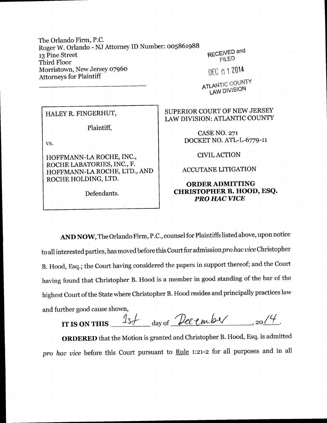The Orlando Firm, P.C. Roger W. Orlando - NJ Attorney ID Number: oo5861988 13 Pine Street Third Floor Morristown, New Jersey 07960 Attorneys for Plaintiff

RECEIVED an

DEC 0 1 2014

ATLANTIC COUNTY

## HALEY R. FINGERHUT,

Plaintiff,

VS.

HOFFMANN.LA ROCHE, INC., ROCHE LABATORIES, INC., F. HOFFMANN-LA ROCHE, LTD., AND ROCHE HOLDING, LTD.

Defendants.

## SUPERIOR COURT OF NEW JERSEY LAW DIVISION: ATLANTIC COUNTY

CASE NO. z7r DOCKET NO. ATL-L-6779-11

CIVILACTION

ACCUTANE LITIGATION

## ORDERADMITTING CHRISTOPHER B. HOOD, ESQ. **PRO HAC VICE**

AND NOW, The Orlando Firm, P.C., counsel for Plaintiffs listed above, upon notice to all interested parties, has moved before this Court for admission pro hac vice Christopher B. Hood, Esq.; the Court having considered the papers in support thereof; and the Court having found that Christopher B. Hood is a member in good standing of the bar of the highest Court of the State where Christopher B. Hood resides and principally practices law and further good cause shown,

IT IS ON THIS  $15f$  day of  $\theta e e n b \sqrt{1.20/f}$ .

ORDERED that the Motion is granted and Christopher B. Hood, Esq. is admitted pro hac vice before this Court pursuant to Rule 1:21-2 for all purposes and in all